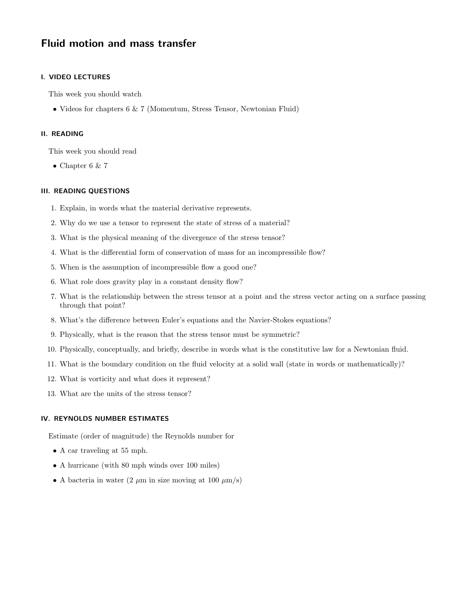# Fluid motion and mass transfer

### I. VIDEO LECTURES

This week you should watch

• Videos for chapters 6 & 7 (Momentum, Stress Tensor, Newtonian Fluid)

#### II. READING

This week you should read

• Chapter 6  $\&$  7

## III. READING QUESTIONS

- 1. Explain, in words what the material derivative represents.
- 2. Why do we use a tensor to represent the state of stress of a material?
- 3. What is the physical meaning of the divergence of the stress tensor?
- 4. What is the differential form of conservation of mass for an incompressible flow?
- 5. When is the assumption of incompressible flow a good one?
- 6. What role does gravity play in a constant density flow?
- 7. What is the relationship between the stress tensor at a point and the stress vector acting on a surface passing through that point?
- 8. What's the difference between Euler's equations and the Navier-Stokes equations?
- 9. Physically, what is the reason that the stress tensor must be symmetric?
- 10. Physically, conceptually, and briefly, describe in words what is the constitutive law for a Newtonian fluid.
- 11. What is the boundary condition on the fluid velocity at a solid wall (state in words or mathematically)?
- 12. What is vorticity and what does it represent?
- 13. What are the units of the stress tensor?

## IV. REYNOLDS NUMBER ESTIMATES

Estimate (order of magnitude) the Reynolds number for

- A car traveling at 55 mph.
- A hurricane (with 80 mph winds over 100 miles)
- A bacteria in water  $(2 \mu m)$  in size moving at 100  $\mu$ m/s)